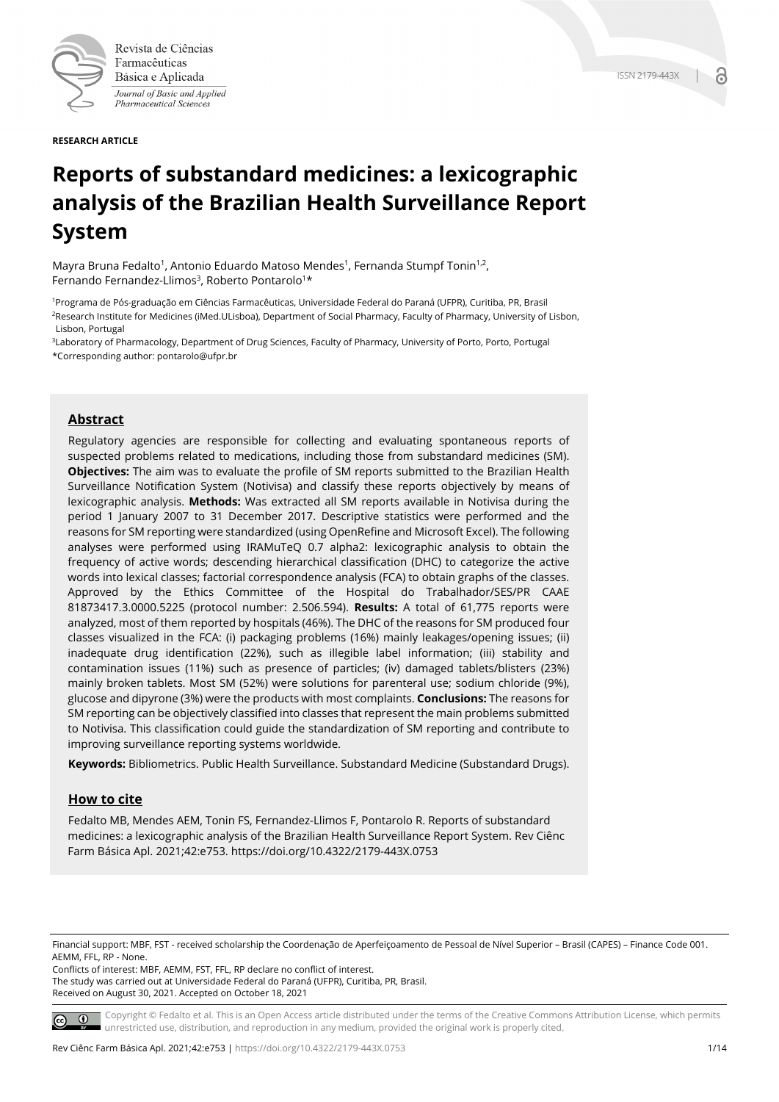

Revista de Ciências Farmacêuticas Básica e Aplicada Journal of Basic and Applied Pharmaceutical Sciences

**RESEARCH ARTICLE**

# **Reports of substandard medicines: a lexicographic analysis of the Brazilian Health Surveillance Report System**

Mayra Bruna Fedalto<sup>1</sup>, Antonio Eduardo Matoso Mendes<sup>1</sup>, Fernanda Stumpf Tonin<sup>1,2</sup>, Fernando Fernandez-Llimos<sup>3</sup>, Roberto Pontarolo<sup>1\*</sup>

1Programa de Pós-graduação em Ciências Farmacêuticas, Universidade Federal do Paraná (UFPR), Curitiba, PR, Brasil 2Research Institute for Medicines (iMed.ULisboa), Department of Social Pharmacy, Faculty of Pharmacy, University of Lisbon, Lisbon, Portugal

<sup>3</sup>Laboratory of Pharmacology, Department of Drug Sciences, Faculty of Pharmacy, University of Porto, Porto, Portugal \*Corresponding author: pontarolo@ufpr.br

# **Abstract**

Regulatory agencies are responsible for collecting and evaluating spontaneous reports of suspected problems related to medications, including those from substandard medicines (SM). **Objectives:** The aim was to evaluate the profile of SM reports submitted to the Brazilian Health Surveillance Notification System (Notivisa) and classify these reports objectively by means of lexicographic analysis. **Methods:** Was extracted all SM reports available in Notivisa during the period 1 January 2007 to 31 December 2017. Descriptive statistics were performed and the reasons for SM reporting were standardized (using OpenRefine and Microsoft Excel). The following analyses were performed using IRAMuTeQ 0.7 alpha2: lexicographic analysis to obtain the frequency of active words; descending hierarchical classification (DHC) to categorize the active words into lexical classes; factorial correspondence analysis (FCA) to obtain graphs of the classes. Approved by the Ethics Committee of the Hospital do Trabalhador/SES/PR CAAE 81873417.3.0000.5225 (protocol number: 2.506.594). **Results:** A total of 61,775 reports were analyzed, most of them reported by hospitals (46%). The DHC of the reasons for SM produced four classes visualized in the FCA: (i) packaging problems (16%) mainly leakages/opening issues; (ii) inadequate drug identification (22%), such as illegible label information; (iii) stability and contamination issues (11%) such as presence of particles; (iv) damaged tablets/blisters (23%) mainly broken tablets. Most SM (52%) were solutions for parenteral use; sodium chloride (9%), glucose and dipyrone (3%) were the products with most complaints. **Conclusions:** The reasons for SM reporting can be objectively classified into classes that represent the main problems submitted to Notivisa. This classification could guide the standardization of SM reporting and contribute to improving surveillance reporting systems worldwide.

**Keywords:** Bibliometrics. Public Health Surveillance. Substandard Medicine (Substandard Drugs).

## **How to cite**

Fedalto MB, Mendes AEM, Tonin FS, Fernandez-Llimos F, Pontarolo R. Reports of substandard medicines: a lexicographic analysis of the Brazilian Health Surveillance Report System. Rev Ciênc Farm Básica Apl. 2021;42:e753. https://doi.org/10.4322/2179-443X.0753

Financial support: MBF, FST - received scholarship the Coordenação de Aperfeiçoamento de Pessoal de Nível Superior – Brasil (CAPES) – Finance Code 001. AEMM, FFL, RP - None.

Conflicts of interest: MBF, AEMM, FST, FFL, RP declare no conflict of interest. The study was carried out at Universidade Federal do Paraná (UFPR), Curitiba, PR, Brasil. Received on August 30, 2021. Accepted on October 18, 2021

Copyright © Fedalto et al. This is an Open Access article distributed under the terms of the Creative Commons Attribution License, which permits  $\circ$   $\circ$ unrestricted use, distribution, and reproduction in any medium, provided the original work is properly cited.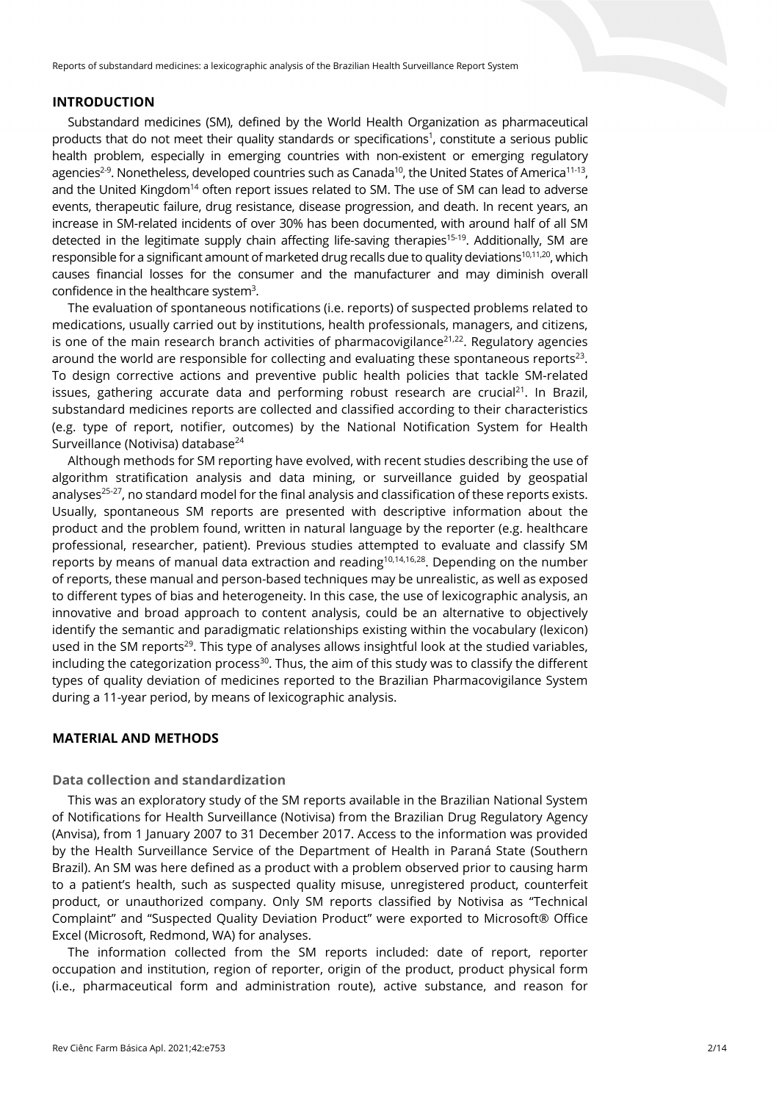#### **INTRODUCTION**

Substandard medicines (SM), defined by the World Health Organization as pharmaceutical products that do not meet their quality standards or specifications<sup>1</sup>, constitute a serious public health problem, especially in emerging countries with non-existent or emerging regulatory agencies $^{2\cdot 9}$ . Nonetheless, developed countries such as Canada $^{10}$ , the United States of America $^{11\cdot 13}$ , and the United Kingdom<sup>14</sup> often report issues related to SM. The use of SM can lead to adverse events, therapeutic failure, drug resistance, disease progression, and death. In recent years, an increase in SM-related incidents of over 30% has been documented, with around half of all SM detected in the legitimate supply chain affecting life-saving therapies<sup>15-19</sup>. Additionally, SM are responsible for a significant amount of marketed drug recalls due to quality deviations<sup>10,11,20</sup>, which causes financial losses for the consumer and the manufacturer and may diminish overall confidence in the healthcare system<sup>3</sup>.

The evaluation of spontaneous notifications (i.e. reports) of suspected problems related to medications, usually carried out by institutions, health professionals, managers, and citizens, is one of the main research branch activities of pharmacovigilance<sup>21,22</sup>. Regulatory agencies around the world are responsible for collecting and evaluating these spontaneous reports $23$ . To design corrective actions and preventive public health policies that tackle SM-related issues, gathering accurate data and performing robust research are crucial<sup>21</sup>. In Brazil, substandard medicines reports are collected and classified according to their characteristics (e.g. type of report, notifier, outcomes) by the National Notification System for Health Surveillance (Notivisa) database<sup>24</sup>

Although methods for SM reporting have evolved, with recent studies describing the use of algorithm stratification analysis and data mining, or surveillance guided by geospatial analyses<sup>25-27</sup>, no standard model for the final analysis and classification of these reports exists. Usually, spontaneous SM reports are presented with descriptive information about the product and the problem found, written in natural language by the reporter (e.g. healthcare professional, researcher, patient). Previous studies attempted to evaluate and classify SM reports by means of manual data extraction and reading<sup>10,14,16,28</sup>. Depending on the number of reports, these manual and person-based techniques may be unrealistic, as well as exposed to different types of bias and heterogeneity. In this case, the use of lexicographic analysis, an innovative and broad approach to content analysis, could be an alternative to objectively identify the semantic and paradigmatic relationships existing within the vocabulary (lexicon) used in the SM reports<sup>29</sup>. This type of analyses allows insightful look at the studied variables, including the categorization process $30$ . Thus, the aim of this study was to classify the different types of quality deviation of medicines reported to the Brazilian Pharmacovigilance System during a 11-year period, by means of lexicographic analysis.

# **MATERIAL AND METHODS**

# **Data collection and standardization**

This was an exploratory study of the SM reports available in the Brazilian National System of Notifications for Health Surveillance (Notivisa) from the Brazilian Drug Regulatory Agency (Anvisa), from 1 January 2007 to 31 December 2017. Access to the information was provided by the Health Surveillance Service of the Department of Health in Paraná State (Southern Brazil). An SM was here defined as a product with a problem observed prior to causing harm to a patient's health, such as suspected quality misuse, unregistered product, counterfeit product, or unauthorized company. Only SM reports classified by Notivisa as "Technical Complaint" and "Suspected Quality Deviation Product" were exported to Microsoft® Office Excel (Microsoft, Redmond, WA) for analyses.

The information collected from the SM reports included: date of report, reporter occupation and institution, region of reporter, origin of the product, product physical form (i.e., pharmaceutical form and administration route), active substance, and reason for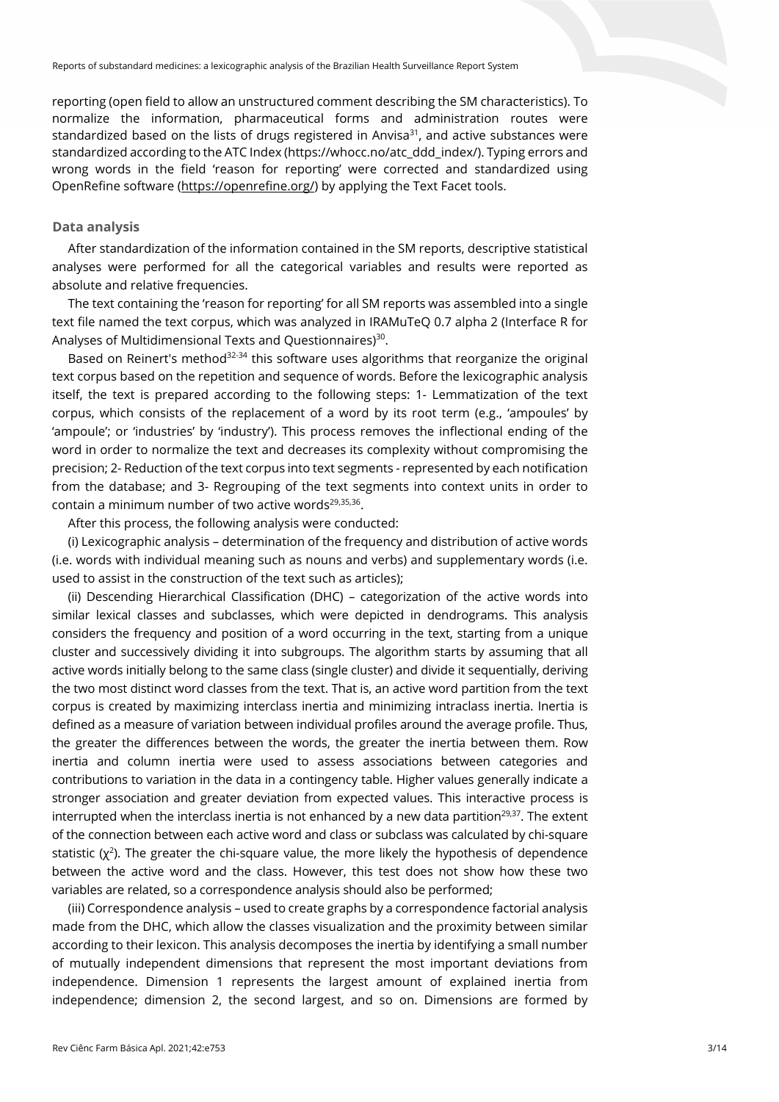reporting (open field to allow an unstructured comment describing the SM characteristics). To normalize the information, pharmaceutical forms and administration routes were standardized based on the lists of drugs registered in Anvisa $31$ , and active substances were standardized according to the ATC Index (https://whocc.no/atc\_ddd\_index/). Typing errors and wrong words in the field 'reason for reporting' were corrected and standardized using OpenRefine software (https://openrefine.org/) by applying the Text Facet tools.

## **Data analysis**

After standardization of the information contained in the SM reports, descriptive statistical analyses were performed for all the categorical variables and results were reported as absolute and relative frequencies.

The text containing the 'reason for reporting' for all SM reports was assembled into a single text file named the text corpus, which was analyzed in IRAMuTeQ 0.7 alpha 2 (Interface R for Analyses of Multidimensional Texts and Questionnaires)<sup>30</sup>.

Based on Reinert's method $32-34$  this software uses algorithms that reorganize the original text corpus based on the repetition and sequence of words. Before the lexicographic analysis itself, the text is prepared according to the following steps: 1- Lemmatization of the text corpus, which consists of the replacement of a word by its root term (e.g., 'ampoules' by 'ampoule'; or 'industries' by 'industry'). This process removes the inflectional ending of the word in order to normalize the text and decreases its complexity without compromising the precision; 2- Reduction of the text corpus into text segments - represented by each notification from the database; and 3- Regrouping of the text segments into context units in order to contain a minimum number of two active words $29,35,36$ .

After this process, the following analysis were conducted:

(i) Lexicographic analysis – determination of the frequency and distribution of active words (i.e. words with individual meaning such as nouns and verbs) and supplementary words (i.e. used to assist in the construction of the text such as articles);

(ii) Descending Hierarchical Classification (DHC) – categorization of the active words into similar lexical classes and subclasses, which were depicted in dendrograms. This analysis considers the frequency and position of a word occurring in the text, starting from a unique cluster and successively dividing it into subgroups. The algorithm starts by assuming that all active words initially belong to the same class (single cluster) and divide it sequentially, deriving the two most distinct word classes from the text. That is, an active word partition from the text corpus is created by maximizing interclass inertia and minimizing intraclass inertia. Inertia is defined as a measure of variation between individual profiles around the average profile. Thus, the greater the differences between the words, the greater the inertia between them. Row inertia and column inertia were used to assess associations between categories and contributions to variation in the data in a contingency table. Higher values generally indicate a stronger association and greater deviation from expected values. This interactive process is interrupted when the interclass inertia is not enhanced by a new data partition<sup>29,37</sup>. The extent of the connection between each active word and class or subclass was calculated by chi-square statistic  $(\chi^2)$ . The greater the chi-square value, the more likely the hypothesis of dependence between the active word and the class. However, this test does not show how these two variables are related, so a correspondence analysis should also be performed;

(iii) Correspondence analysis – used to create graphs by a correspondence factorial analysis made from the DHC, which allow the classes visualization and the proximity between similar according to their lexicon. This analysis decomposes the inertia by identifying a small number of mutually independent dimensions that represent the most important deviations from independence. Dimension 1 represents the largest amount of explained inertia from independence; dimension 2, the second largest, and so on. Dimensions are formed by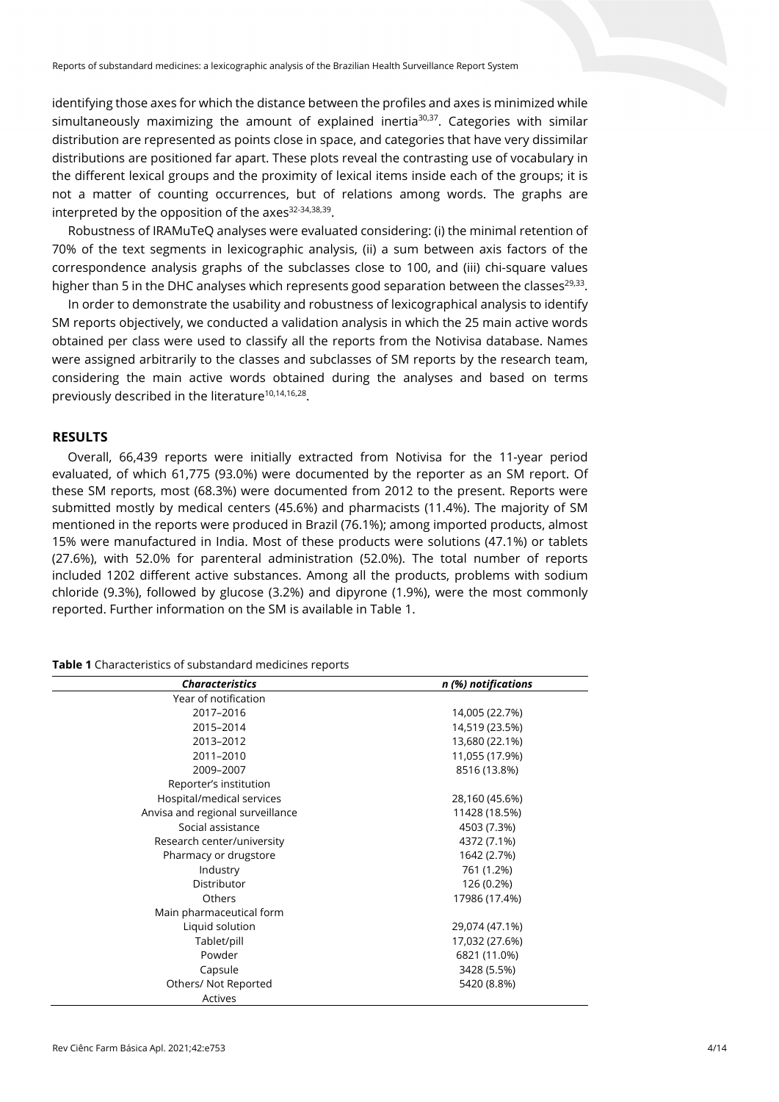identifying those axes for which the distance between the profiles and axes is minimized while simultaneously maximizing the amount of explained inertia $30,37$ . Categories with similar distribution are represented as points close in space, and categories that have very dissimilar distributions are positioned far apart. These plots reveal the contrasting use of vocabulary in the different lexical groups and the proximity of lexical items inside each of the groups; it is not a matter of counting occurrences, but of relations among words. The graphs are interpreted by the opposition of the axes<sup>32-34,38,39</sup>.

Robustness of IRAMuTeQ analyses were evaluated considering: (i) the minimal retention of 70% of the text segments in lexicographic analysis, (ii) a sum between axis factors of the correspondence analysis graphs of the subclasses close to 100, and (iii) chi-square values higher than 5 in the DHC analyses which represents good separation between the classes<sup>29,33</sup>.

In order to demonstrate the usability and robustness of lexicographical analysis to identify SM reports objectively, we conducted a validation analysis in which the 25 main active words obtained per class were used to classify all the reports from the Notivisa database. Names were assigned arbitrarily to the classes and subclasses of SM reports by the research team, considering the main active words obtained during the analyses and based on terms previously described in the literature<sup>10,14,16,28</sup>.

## **RESULTS**

Overall, 66,439 reports were initially extracted from Notivisa for the 11-year period evaluated, of which 61,775 (93.0%) were documented by the reporter as an SM report. Of these SM reports, most (68.3%) were documented from 2012 to the present. Reports were submitted mostly by medical centers (45.6%) and pharmacists (11.4%). The majority of SM mentioned in the reports were produced in Brazil (76.1%); among imported products, almost 15% were manufactured in India. Most of these products were solutions (47.1%) or tablets (27.6%), with 52.0% for parenteral administration (52.0%). The total number of reports included 1202 different active substances. Among all the products, problems with sodium chloride (9.3%), followed by glucose (3.2%) and dipyrone (1.9%), were the most commonly reported. Further information on the SM is available in Table 1.

| Table 1 Characteristics of substandard medicines reports |  |
|----------------------------------------------------------|--|
|----------------------------------------------------------|--|

| <b>Characteristics</b>           | n (%) notifications |
|----------------------------------|---------------------|
| Year of notification             |                     |
| 2017-2016                        | 14,005 (22.7%)      |
| 2015-2014                        | 14,519 (23.5%)      |
| 2013-2012                        | 13,680 (22.1%)      |
| 2011-2010                        | 11,055 (17.9%)      |
| 2009-2007                        | 8516 (13.8%)        |
| Reporter's institution           |                     |
| Hospital/medical services        | 28,160 (45.6%)      |
| Anvisa and regional surveillance | 11428 (18.5%)       |
| Social assistance                | 4503 (7.3%)         |
| Research center/university       | 4372 (7.1%)         |
| Pharmacy or drugstore            | 1642 (2.7%)         |
| Industry                         | 761 (1.2%)          |
| Distributor                      | 126 (0.2%)          |
| Others                           | 17986 (17.4%)       |
| Main pharmaceutical form         |                     |
| Liquid solution                  | 29,074 (47.1%)      |
| Tablet/pill                      | 17,032 (27.6%)      |
| Powder                           | 6821 (11.0%)        |
| Capsule                          | 3428 (5.5%)         |
| Others/ Not Reported             | 5420 (8.8%)         |
| Actives                          |                     |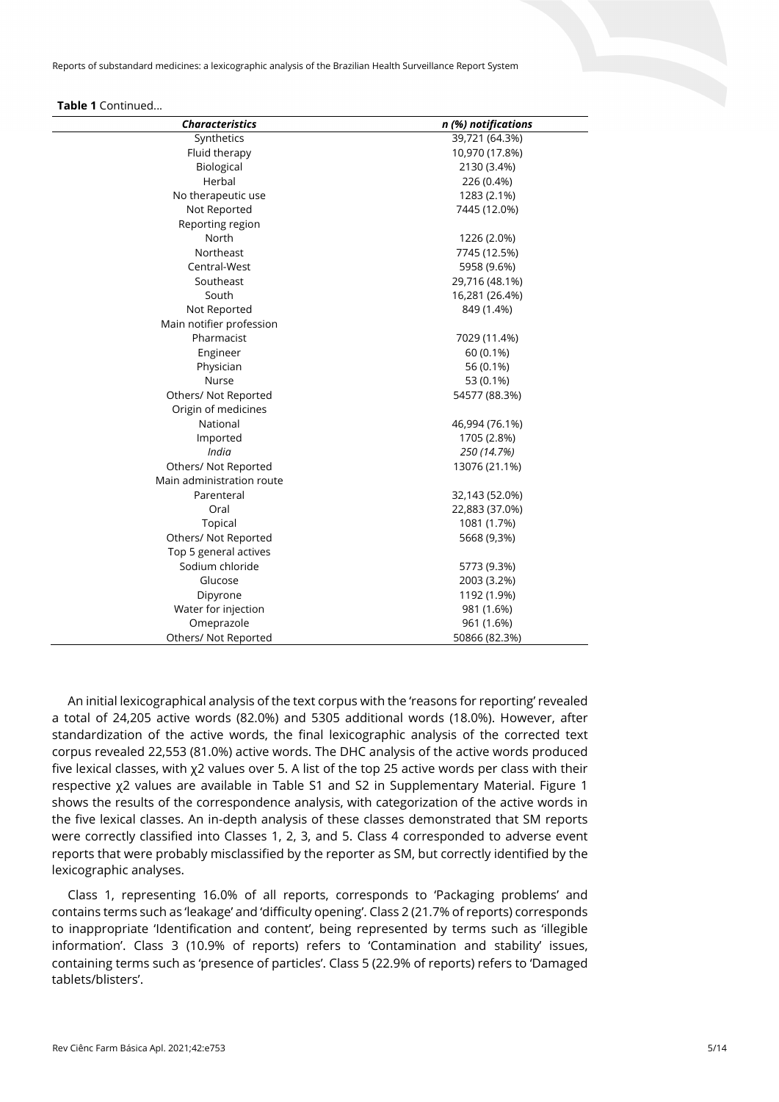#### **Table 1** Continued...

| <b>Characteristics</b>    | n (%) notifications |
|---------------------------|---------------------|
| Synthetics                | 39,721 (64.3%)      |
| Fluid therapy             | 10,970 (17.8%)      |
| Biological                | 2130 (3.4%)         |
| Herbal                    | 226 (0.4%)          |
| No therapeutic use        | 1283 (2.1%)         |
| Not Reported              | 7445 (12.0%)        |
| Reporting region          |                     |
| North                     | 1226 (2.0%)         |
| Northeast                 | 7745 (12.5%)        |
| Central-West              | 5958 (9.6%)         |
| Southeast                 | 29,716 (48.1%)      |
| South                     | 16,281 (26.4%)      |
| Not Reported              | 849 (1.4%)          |
| Main notifier profession  |                     |
| Pharmacist                | 7029 (11.4%)        |
| Engineer                  | 60 (0.1%)           |
| Physician                 | 56 (0.1%)           |
| <b>Nurse</b>              | 53 (0.1%)           |
| Others/ Not Reported      | 54577 (88.3%)       |
| Origin of medicines       |                     |
| National                  | 46,994 (76.1%)      |
| Imported                  | 1705 (2.8%)         |
| India                     | 250 (14.7%)         |
| Others/ Not Reported      | 13076 (21.1%)       |
| Main administration route |                     |
| Parenteral                | 32,143 (52.0%)      |
| Oral                      | 22,883 (37.0%)      |
| Topical                   | 1081 (1.7%)         |
| Others/ Not Reported      | 5668 (9,3%)         |
| Top 5 general actives     |                     |
| Sodium chloride           | 5773 (9.3%)         |
| Glucose                   | 2003 (3.2%)         |
| Dipyrone                  | 1192 (1.9%)         |
| Water for injection       | 981 (1.6%)          |
| Omeprazole                | 961 (1.6%)          |
| Others/ Not Reported      | 50866 (82.3%)       |

An initial lexicographical analysis of the text corpus with the 'reasons for reporting' revealed a total of 24,205 active words (82.0%) and 5305 additional words (18.0%). However, after standardization of the active words, the final lexicographic analysis of the corrected text corpus revealed 22,553 (81.0%) active words. The DHC analysis of the active words produced five lexical classes, with χ2 values over 5. A list of the top 25 active words per class with their respective χ2 values are available in Table S1 and S2 in Supplementary Material. Figure 1 shows the results of the correspondence analysis, with categorization of the active words in the five lexical classes. An in-depth analysis of these classes demonstrated that SM reports were correctly classified into Classes 1, 2, 3, and 5. Class 4 corresponded to adverse event reports that were probably misclassified by the reporter as SM, but correctly identified by the lexicographic analyses.

Class 1, representing 16.0% of all reports, corresponds to 'Packaging problems' and contains terms such as 'leakage' and 'difficulty opening'. Class 2 (21.7% of reports) corresponds to inappropriate 'Identification and content', being represented by terms such as 'illegible information'. Class 3 (10.9% of reports) refers to 'Contamination and stability' issues, containing terms such as 'presence of particles'. Class 5 (22.9% of reports) refers to 'Damaged tablets/blisters'.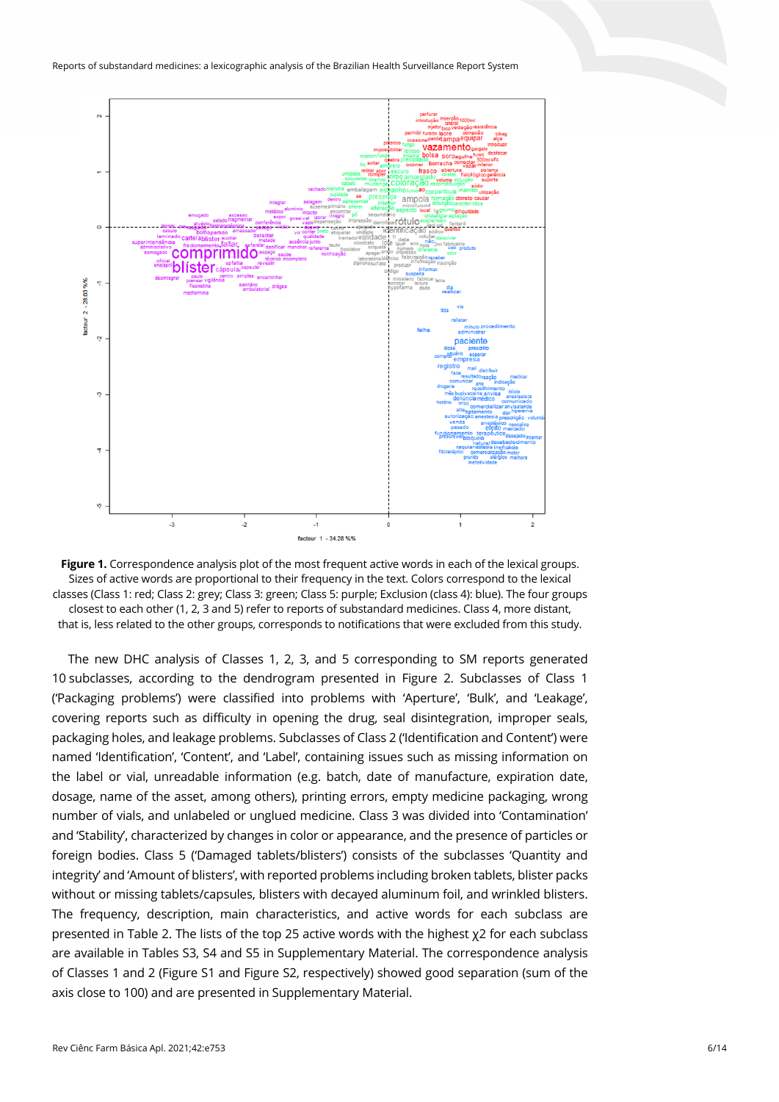



The new DHC analysis of Classes 1, 2, 3, and 5 corresponding to SM reports generated 10 subclasses, according to the dendrogram presented in Figure 2. Subclasses of Class 1 ('Packaging problems') were classified into problems with 'Aperture', 'Bulk', and 'Leakage', covering reports such as difficulty in opening the drug, seal disintegration, improper seals, packaging holes, and leakage problems. Subclasses of Class 2 ('Identification and Content') were named 'Identification', 'Content', and 'Label', containing issues such as missing information on the label or vial, unreadable information (e.g. batch, date of manufacture, expiration date, dosage, name of the asset, among others), printing errors, empty medicine packaging, wrong number of vials, and unlabeled or unglued medicine. Class 3 was divided into 'Contamination' and 'Stability', characterized by changes in color or appearance, and the presence of particles or foreign bodies. Class 5 ('Damaged tablets/blisters') consists of the subclasses 'Quantity and integrity' and 'Amount of blisters', with reported problems including broken tablets, blister packs without or missing tablets/capsules, blisters with decayed aluminum foil, and wrinkled blisters. The frequency, description, main characteristics, and active words for each subclass are presented in Table 2. The lists of the top 25 active words with the highest χ2 for each subclass are available in Tables S3, S4 and S5 in Supplementary Material. The correspondence analysis of Classes 1 and 2 (Figure S1 and Figure S2, respectively) showed good separation (sum of the axis close to 100) and are presented in Supplementary Material.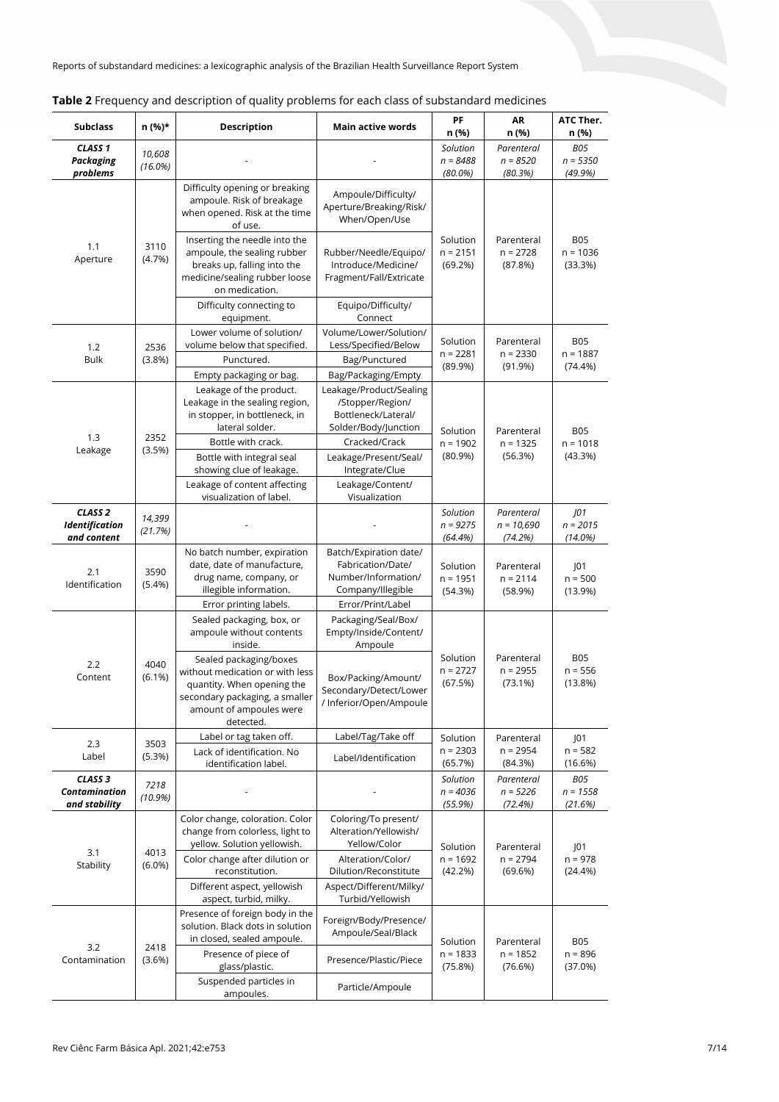| <b>Subclass</b>                                            | n (%)*                                                                                                                         | <b>Description</b>                                                                                                                                                | <b>Main active words</b>                                                                  | ΡF<br>n (%)                          | AR<br>n (%)                           | ATC Ther.<br>n (%)                  |
|------------------------------------------------------------|--------------------------------------------------------------------------------------------------------------------------------|-------------------------------------------------------------------------------------------------------------------------------------------------------------------|-------------------------------------------------------------------------------------------|--------------------------------------|---------------------------------------|-------------------------------------|
| CLASS <sub>1</sub><br>Packaging<br>problems                | 10,608<br>$(16.0\%)$                                                                                                           |                                                                                                                                                                   |                                                                                           | Solution<br>$n = 8488$<br>$(80.0\%)$ | Parenteral<br>$n = 8520$<br>(80.3%)   | <b>B05</b><br>$n = 5350$<br>(49.9%) |
| 1.1<br>Aperture                                            | 3110<br>(4.7%)                                                                                                                 | Difficulty opening or breaking<br>ampoule. Risk of breakage<br>when opened. Risk at the time<br>of use.                                                           | Ampoule/Difficulty/<br>Aperture/Breaking/Risk/<br>When/Open/Use                           |                                      |                                       |                                     |
|                                                            |                                                                                                                                | Inserting the needle into the<br>ampoule, the sealing rubber<br>breaks up, falling into the<br>medicine/sealing rubber loose<br>on medication.                    | Rubber/Needle/Equipo/<br>Introduce/Medicine/<br>Fragment/Fall/Extricate                   | Solution<br>$n = 2151$<br>(69.2%)    | Parenteral<br>$n = 2728$<br>(87.8%)   | <b>B05</b><br>$n = 1036$<br>(33.3%) |
|                                                            |                                                                                                                                | Difficulty connecting to<br>equipment.                                                                                                                            | Equipo/Difficulty/<br>Connect                                                             |                                      |                                       |                                     |
| 1.2<br><b>Bulk</b>                                         | 2536<br>(3.8%)                                                                                                                 | Lower volume of solution/<br>volume below that specified.<br>Punctured.                                                                                           | Volume/Lower/Solution/<br>Less/Specified/Below<br>Bag/Punctured                           | Solution<br>n = 2281<br>(89.9%)      | Parenteral<br>$n = 2330$<br>(91.9%)   | <b>B05</b><br>$n = 1887$<br>(74.4%) |
|                                                            |                                                                                                                                | Empty packaging or bag.<br>Leakage of the product.<br>Leakage in the sealing region,<br>in stopper, in bottleneck, in                                             | Bag/Packaging/Empty<br>Leakage/Product/Sealing<br>/Stopper/Region/<br>Bottleneck/Lateral/ |                                      |                                       |                                     |
| 2352<br>1.3<br>(3.5%)<br>Leakage                           | lateral solder.<br>Bottle with crack.<br>Bottle with integral seal<br>showing clue of leakage.<br>Leakage of content affecting | Solder/Body/Junction<br>Cracked/Crack<br>Leakage/Present/Seal/<br>Integrate/Clue<br>Leakage/Content/                                                              | Solution<br>$n = 1902$<br>$(80.9\%)$                                                      | Parenteral<br>$n = 1325$<br>(56.3%)  | <b>B05</b><br>$n = 1018$<br>(43.3%)   |                                     |
| CLASS <sub>2</sub><br><b>Identification</b><br>and content | 14,399<br>(21.7%)                                                                                                              | visualization of label.                                                                                                                                           | Visualization                                                                             | Solution<br>$n = 9275$<br>(64.4%)    | Parenteral<br>$n = 10,690$<br>(74.2%) | $J$ 01<br>$n = 2015$<br>$(14.0\%)$  |
| 2.1<br>Identification                                      | 3590<br>(5.4%)                                                                                                                 | No batch number, expiration<br>date, date of manufacture,<br>drug name, company, or<br>illegible information.                                                     | Batch/Expiration date/<br>Fabrication/Date/<br>Number/Information/<br>Company/Illegible   | Solution<br>$n = 1951$<br>(54.3%)    | Parenteral<br>$n = 2114$<br>(58.9%)   | 01<br>$n = 500$<br>(13.9%)          |
|                                                            |                                                                                                                                | Error printing labels.<br>Sealed packaging, box, or<br>ampoule without contents<br>inside.                                                                        | Error/Print/Label<br>Packaging/Seal/Box/<br>Empty/Inside/Content/<br>Ampoule              |                                      |                                       |                                     |
| 2.2<br>Content                                             | 4040<br>$(6.1\%)$                                                                                                              | Sealed packaging/boxes<br>without medication or with less<br>quantity. When opening the<br>secondary packaging, a smaller<br>amount of ampoules were<br>detected. | Box/Packing/Amount/<br>Secondary/Detect/Lower<br>/ Inferior/Open/Ampoule                  | Solution<br>$n = 2727$<br>(67.5%)    | Parenteral<br>$n = 2955$<br>(73.1%)   | <b>B05</b><br>$n = 556$<br>(13.8%)  |
| 2.3                                                        | 3503                                                                                                                           | Label or tag taken off.<br>Lack of identification. No                                                                                                             | Label/Tag/Take off                                                                        | Solution<br>$n = 2303$               | Parenteral<br>$n = 2954$              | J01<br>$n = 582$                    |
| Label<br>CLASS <sub>3</sub>                                | (5.3%)                                                                                                                         | identification label.                                                                                                                                             | Label/Identification                                                                      | (65.7%)<br>Solution                  | (84.3%)<br>Parenteral                 | (16.6%)<br><b>B05</b>               |
| Contamination<br>and stability                             | 7218<br>(10.9%)                                                                                                                |                                                                                                                                                                   |                                                                                           | $n = 4036$<br>(55.9%)                | $n = 5226$<br>(72.4%)                 | $n = 1558$<br>(21.6%)               |
| 3.1<br>Stability                                           | 4013<br>$(6.0\%)$                                                                                                              | Color change, coloration. Color<br>change from colorless, light to<br>yellow. Solution yellowish.                                                                 | Coloring/To present/<br>Alteration/Yellowish/<br>Yellow/Color                             | Solution                             | Parenteral                            | 01                                  |
|                                                            |                                                                                                                                | Color change after dilution or<br>reconstitution.<br>Different aspect, yellowish<br>aspect, turbid, milky.                                                        | Alteration/Color/<br>Dilution/Reconstitute<br>Aspect/Different/Milky/<br>Turbid/Yellowish | $n = 1692$<br>(42.2%)                | $n = 2794$<br>(69.6%)                 | $n = 978$<br>(24.4%)                |
|                                                            |                                                                                                                                | Presence of foreign body in the<br>solution. Black dots in solution<br>in closed, sealed ampoule.                                                                 | Foreign/Body/Presence/<br>Ampoule/Seal/Black                                              | Solution                             | Parenteral                            | <b>B05</b>                          |
| 3.2<br>Contamination                                       | 2418<br>(3.6%)                                                                                                                 | Presence of piece of<br>glass/plastic.                                                                                                                            | Presence/Plastic/Piece                                                                    | n = 1833<br>(75.8%)                  | $n = 1852$<br>(76.6%)                 | $n = 896$<br>(37.0%)                |
|                                                            |                                                                                                                                | Suspended particles in<br>ampoules.                                                                                                                               | Particle/Ampoule                                                                          |                                      |                                       |                                     |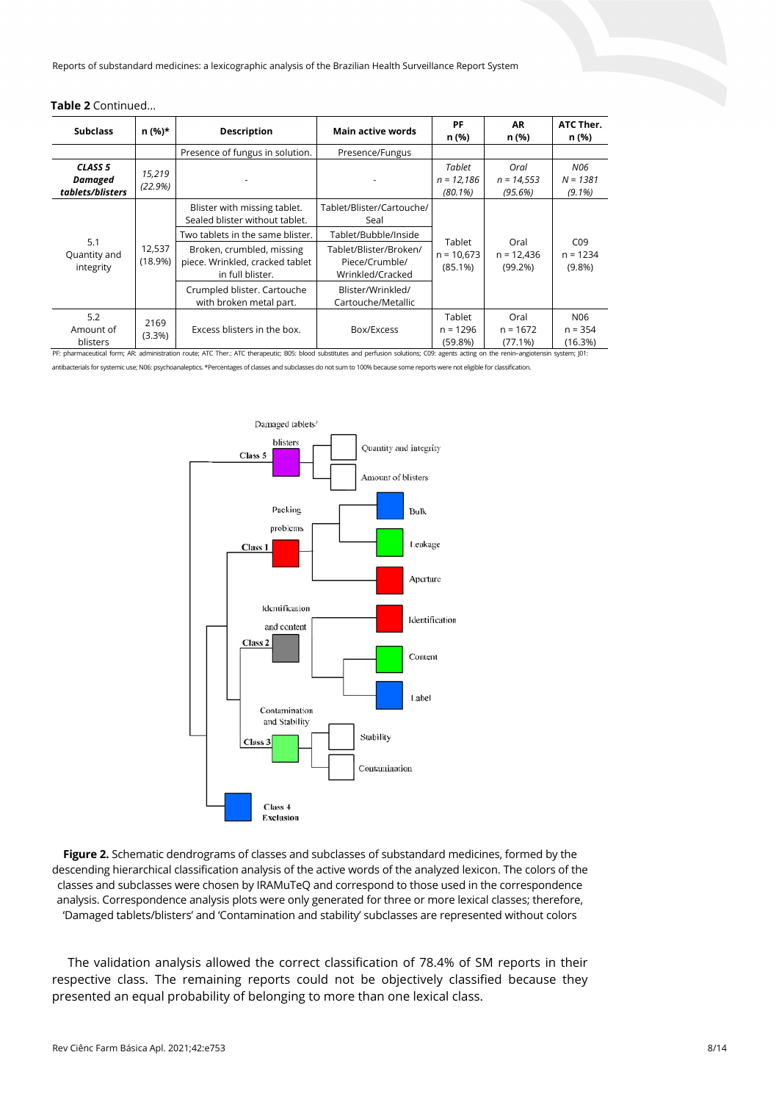|  |  | <b>Table 2</b> Continued |
|--|--|--------------------------|
|--|--|--------------------------|

| <b>Subclass</b>                                          | n (%)*            | Description                                                                      | <b>Main active words</b>                                     | PF<br>n (%)                            | <b>AR</b><br>n (%)              | ATC Ther.<br>n (%)                         |
|----------------------------------------------------------|-------------------|----------------------------------------------------------------------------------|--------------------------------------------------------------|----------------------------------------|---------------------------------|--------------------------------------------|
|                                                          |                   | Presence of fungus in solution.                                                  | Presence/Fungus                                              |                                        |                                 |                                            |
| CLASS <sub>5</sub><br><b>Damaged</b><br>tablets/blisters | 15,219<br>(22.9%) |                                                                                  |                                                              | Tablet<br>$n = 12,186$<br>$(80.1\%)$   | Oral<br>$n = 14,553$<br>(95.6%) | <b>N06</b><br>$N = 1.381$<br>$(9.1\%)$     |
| 5.1<br>Quantity and<br>integrity                         | 12,537<br>(18.9%) | Blister with missing tablet.<br>Sealed blister without tablet.                   | Tablet/Blister/Cartouche/<br>Seal                            |                                        |                                 |                                            |
|                                                          |                   | Two tablets in the same blister.                                                 | Tablet/Bubble/Inside                                         | <b>Tablet</b>                          |                                 |                                            |
|                                                          |                   | Broken, crumbled, missing<br>piece. Wrinkled, cracked tablet<br>in full blister. | Tablet/Blister/Broken/<br>Piece/Crumble/<br>Wrinkled/Cracked | $n = 10.673$<br>$(85.1\%)$             | Oral<br>$n = 12,436$<br>(99.2%) | C <sub>09</sub><br>$n = 1234$<br>$(9.8\%)$ |
|                                                          |                   | Crumpled blister. Cartouche<br>with broken metal part.                           | Blister/Wrinkled/<br>Cartouche/Metallic                      |                                        |                                 |                                            |
| 5.2<br>Amount of<br>blisters                             | 2169<br>(3.3%)    | Excess blisters in the box.                                                      | Box/Excess                                                   | <b>Tablet</b><br>$n = 1296$<br>(59.8%) | Oral<br>$n = 1672$<br>(77.1%)   | N <sub>06</sub><br>$n = 354$<br>(16.3%)    |

PF: pharmaceutical form; AR: administration route; ATC Ther.: ATC therapeutic; B05: blood substitutes and perfusion solutions; C09: agents acting on the renin–angiotensin system; J01: antibacterials for systemic use; N06: psychoanaleptics. \*Percentages of classes and subclasses do not sum to 100% because some reports were not eligible for classification.



**Figure 2.** Schematic dendrograms of classes and subclasses of substandard medicines, formed by the descending hierarchical classification analysis of the active words of the analyzed lexicon. The colors of the classes and subclasses were chosen by IRAMuTeQ and correspond to those used in the correspondence analysis. Correspondence analysis plots were only generated for three or more lexical classes; therefore, 'Damaged tablets/blisters' and 'Contamination and stability' subclasses are represented without colors

The validation analysis allowed the correct classification of 78.4% of SM reports in their respective class. The remaining reports could not be objectively classified because they presented an equal probability of belonging to more than one lexical class.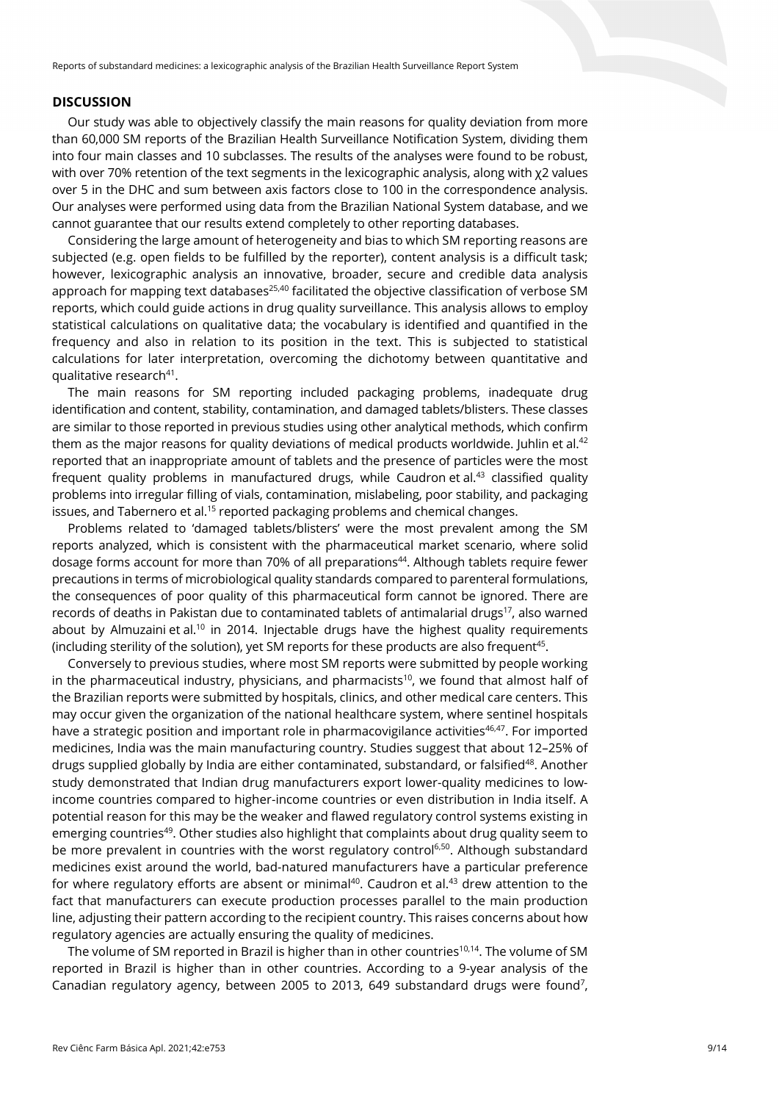#### **DISCUSSION**

Our study was able to objectively classify the main reasons for quality deviation from more than 60,000 SM reports of the Brazilian Health Surveillance Notification System, dividing them into four main classes and 10 subclasses. The results of the analyses were found to be robust, with over 70% retention of the text segments in the lexicographic analysis, along with χ2 values over 5 in the DHC and sum between axis factors close to 100 in the correspondence analysis. Our analyses were performed using data from the Brazilian National System database, and we cannot guarantee that our results extend completely to other reporting databases.

Considering the large amount of heterogeneity and bias to which SM reporting reasons are subjected (e.g. open fields to be fulfilled by the reporter), content analysis is a difficult task; however, lexicographic analysis an innovative, broader, secure and credible data analysis approach for mapping text databases<sup>25,40</sup> facilitated the objective classification of verbose SM reports, which could guide actions in drug quality surveillance. This analysis allows to employ statistical calculations on qualitative data; the vocabulary is identified and quantified in the frequency and also in relation to its position in the text. This is subjected to statistical calculations for later interpretation, overcoming the dichotomy between quantitative and qualitative research<sup>41</sup>.

The main reasons for SM reporting included packaging problems, inadequate drug identification and content, stability, contamination, and damaged tablets/blisters. These classes are similar to those reported in previous studies using other analytical methods, which confirm them as the major reasons for quality deviations of medical products worldwide. Juhlin et al.<sup>42</sup> reported that an inappropriate amount of tablets and the presence of particles were the most frequent quality problems in manufactured drugs, while Caudron et al.<sup>43</sup> classified quality problems into irregular filling of vials, contamination, mislabeling, poor stability, and packaging issues, and Tabernero et al.<sup>15</sup> reported packaging problems and chemical changes.

Problems related to 'damaged tablets/blisters' were the most prevalent among the SM reports analyzed, which is consistent with the pharmaceutical market scenario, where solid dosage forms account for more than 70% of all preparations<sup>44</sup>. Although tablets require fewer precautions in terms of microbiological quality standards compared to parenteral formulations, the consequences of poor quality of this pharmaceutical form cannot be ignored. There are records of deaths in Pakistan due to contaminated tablets of antimalarial drugs<sup>17</sup>, also warned about by Almuzaini et al.<sup>10</sup> in 2014. Injectable drugs have the highest quality requirements (including sterility of the solution), yet SM reports for these products are also frequent<sup>45</sup>.

Conversely to previous studies, where most SM reports were submitted by people working in the pharmaceutical industry, physicians, and pharmacists<sup>10</sup>, we found that almost half of the Brazilian reports were submitted by hospitals, clinics, and other medical care centers. This may occur given the organization of the national healthcare system, where sentinel hospitals have a strategic position and important role in pharmacovigilance activities<sup>46,47</sup>. For imported medicines, India was the main manufacturing country. Studies suggest that about 12–25% of drugs supplied globally by India are either contaminated, substandard, or falsified<sup>48</sup>. Another study demonstrated that Indian drug manufacturers export lower-quality medicines to lowincome countries compared to higher-income countries or even distribution in India itself. A potential reason for this may be the weaker and flawed regulatory control systems existing in emerging countries<sup>49</sup>. Other studies also highlight that complaints about drug quality seem to be more prevalent in countries with the worst regulatory control<sup>6,50</sup>. Although substandard medicines exist around the world, bad-natured manufacturers have a particular preference for where regulatory efforts are absent or minimal<sup>40</sup>. Caudron et al.<sup>43</sup> drew attention to the fact that manufacturers can execute production processes parallel to the main production line, adjusting their pattern according to the recipient country. This raises concerns about how regulatory agencies are actually ensuring the quality of medicines.

The volume of SM reported in Brazil is higher than in other countries<sup>10,14</sup>. The volume of SM reported in Brazil is higher than in other countries. According to a 9-year analysis of the Canadian regulatory agency, between 2005 to 2013, 649 substandard drugs were found<sup>7</sup>,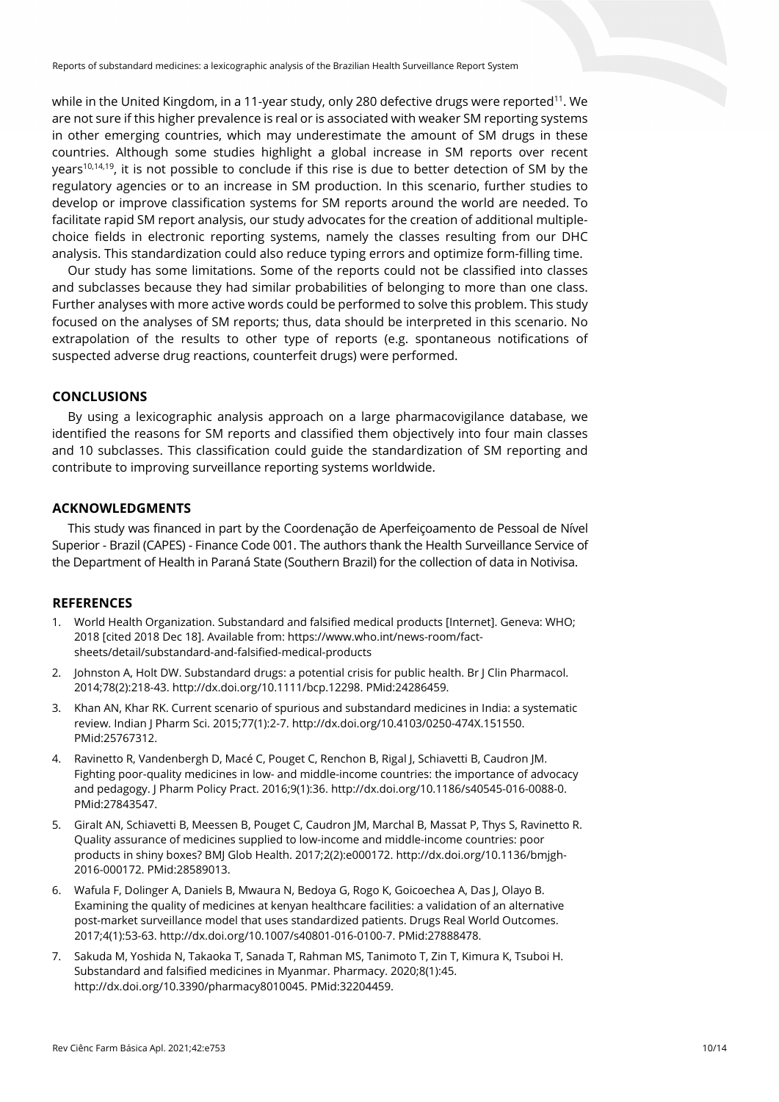while in the United Kingdom, in a 11-year study, only 280 defective drugs were reported<sup>11</sup>. We are not sure if this higher prevalence is real or is associated with weaker SM reporting systems in other emerging countries, which may underestimate the amount of SM drugs in these countries. Although some studies highlight a global increase in SM reports over recent years<sup>10,14,19</sup>, it is not possible to conclude if this rise is due to better detection of SM by the regulatory agencies or to an increase in SM production. In this scenario, further studies to develop or improve classification systems for SM reports around the world are needed. To facilitate rapid SM report analysis, our study advocates for the creation of additional multiplechoice fields in electronic reporting systems, namely the classes resulting from our DHC analysis. This standardization could also reduce typing errors and optimize form-filling time.

Our study has some limitations. Some of the reports could not be classified into classes and subclasses because they had similar probabilities of belonging to more than one class. Further analyses with more active words could be performed to solve this problem. This study focused on the analyses of SM reports; thus, data should be interpreted in this scenario. No extrapolation of the results to other type of reports (e.g. spontaneous notifications of suspected adverse drug reactions, counterfeit drugs) were performed.

## **CONCLUSIONS**

By using a lexicographic analysis approach on a large pharmacovigilance database, we identified the reasons for SM reports and classified them objectively into four main classes and 10 subclasses. This classification could guide the standardization of SM reporting and contribute to improving surveillance reporting systems worldwide.

# **ACKNOWLEDGMENTS**

This study was financed in part by the Coordenação de Aperfeiçoamento de Pessoal de Nível Superior - Brazil (CAPES) - Finance Code 001. The authors thank the Health Surveillance Service of the Department of Health in Paraná State (Southern Brazil) for the collection of data in Notivisa.

## **REFERENCES**

- 1. World Health Organization. Substandard and falsified medical products [Internet]. Geneva: WHO; 2018 [cited 2018 Dec 18]. Available from: https://www.who.int/news-room/factsheets/detail/substandard-and-falsified-medical-products
- 2. Johnston A, Holt DW. Substandard drugs: a potential crisis for public health. Br J Clin Pharmacol. 2014;78(2):218-43. [http://dx.doi.org/10.1111/bcp.12298.](https://doi.org/10.1111/bcp.12298) [PMid:24286459.](https://www.ncbi.nlm.nih.gov/entrez/query.fcgi?cmd=Retrieve&db=PubMed&list_uids=24286459&dopt=Abstract)
- 3. Khan AN, Khar RK. Current scenario of spurious and substandard medicines in India: a systematic review. Indian J Pharm Sci. 2015;77(1):2-7[. http://dx.doi.org/10.4103/0250-474X.151550](https://doi.org/10.4103/0250-474X.151550)[.](https://www.ncbi.nlm.nih.gov/entrez/query.fcgi?cmd=Retrieve&db=PubMed&list_uids=25767312&dopt=Abstract) [PMid:25767312.](https://www.ncbi.nlm.nih.gov/entrez/query.fcgi?cmd=Retrieve&db=PubMed&list_uids=25767312&dopt=Abstract)
- 4. Ravinetto R, Vandenbergh D, Macé C, Pouget C, Renchon B, Rigal J, Schiavetti B, Caudron JM. Fighting poor-quality medicines in low- and middle-income countries: the importance of advocacy and pedagogy. J Pharm Policy Pract. 2016;9(1):36. [http://dx.doi.org/10.1186/s40545-016-0088-0](https://doi.org/10.1186/s40545-016-0088-0)[.](https://www.ncbi.nlm.nih.gov/entrez/query.fcgi?cmd=Retrieve&db=PubMed&list_uids=27843547&dopt=Abstract) [PMid:27843547.](https://www.ncbi.nlm.nih.gov/entrez/query.fcgi?cmd=Retrieve&db=PubMed&list_uids=27843547&dopt=Abstract)
- 5. Giralt AN, Schiavetti B, Meessen B, Pouget C, Caudron JM, Marchal B, Massat P, Thys S, Ravinetto R. Quality assurance of medicines supplied to low-income and middle-income countries: poor products in shiny boxes? BMJ Glob Health. 2017;2(2):e000172[. http://dx.doi.org/10.1136/bmjgh-](https://doi.org/10.1136/bmjgh-2016-000172)[2016-000172.](https://doi.org/10.1136/bmjgh-2016-000172) [PMid:28589013.](https://www.ncbi.nlm.nih.gov/entrez/query.fcgi?cmd=Retrieve&db=PubMed&list_uids=28589013&dopt=Abstract)
- 6. Wafula F, Dolinger A, Daniels B, Mwaura N, Bedoya G, Rogo K, Goicoechea A, Das J, Olayo B. Examining the quality of medicines at kenyan healthcare facilities: a validation of an alternative post-market surveillance model that uses standardized patients. Drugs Real World Outcomes. 2017;4(1):53-63[. http://dx.doi.org/10.1007/s40801-016-0100-7.](https://doi.org/10.1007/s40801-016-0100-7) [PMid:27888478.](https://www.ncbi.nlm.nih.gov/entrez/query.fcgi?cmd=Retrieve&db=PubMed&list_uids=27888478&dopt=Abstract)
- 7. Sakuda M, Yoshida N, Takaoka T, Sanada T, Rahman MS, Tanimoto T, Zin T, Kimura K, Tsuboi H. Substandard and falsified medicines in Myanmar. Pharmacy. 2020;8(1):45. [http://dx.doi.org/10.3390/pharmacy8010045.](https://doi.org/10.3390/pharmacy8010045) [PMid:32204459.](https://www.ncbi.nlm.nih.gov/entrez/query.fcgi?cmd=Retrieve&db=PubMed&list_uids=32204459&dopt=Abstract)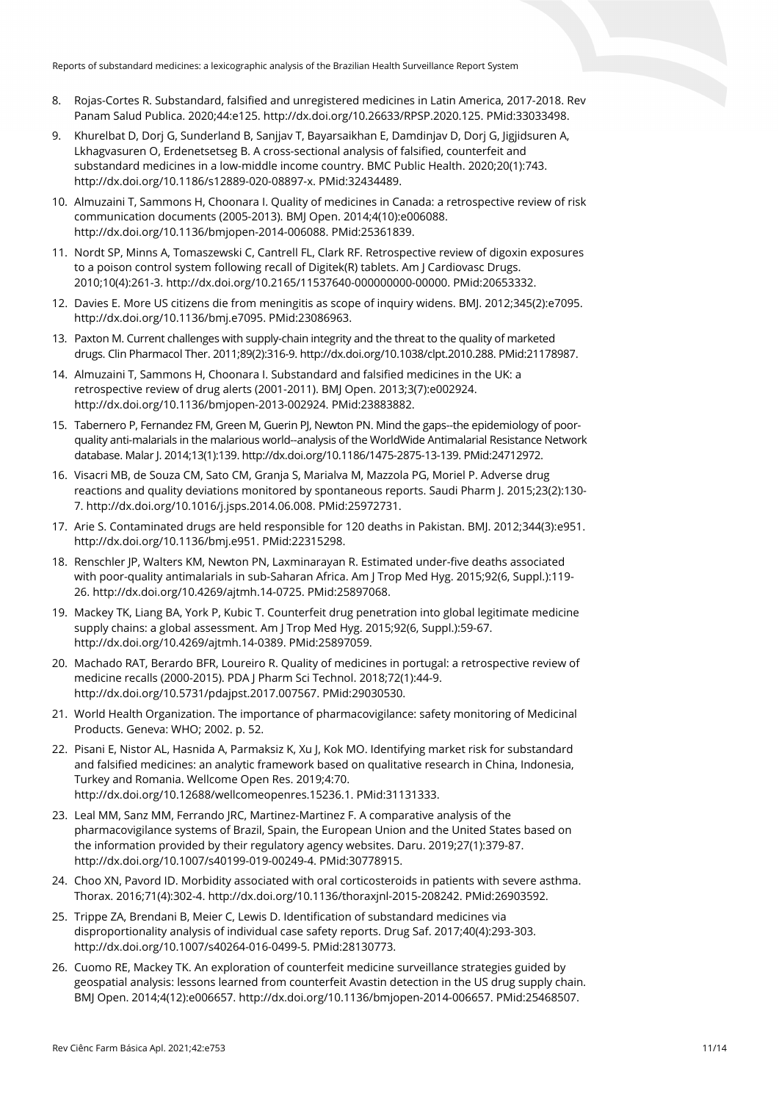- 8. Rojas-Cortes R. Substandard, falsified and unregistered medicines in Latin America, 2017-2018. Rev Panam Salud Publica. 2020;44:e125. http://dx.doi.org/10.26633/RPSP.2020.125. [PMid:33033498.](https://www.ncbi.nlm.nih.gov/entrez/query.fcgi?cmd=Retrieve&db=PubMed&list_uids=33033498&dopt=Abstract)
- 9. Khurelbat D, Dorj G, Sunderland B, Sanjjav T, Bayarsaikhan E, Damdinjav D, Dorj G, Jigjidsuren A, Lkhagvasuren O, Erdenetsetseg B. A cross-sectional analysis of falsified, counterfeit and substandard medicines in a low-middle income country. BMC Public Health. 2020;20(1):743. [http://dx.doi.org/10.1186/s12889-020-08897-x.](https://doi.org/10.1186/s12889-020-08897-x) [PMid:32434489.](https://www.ncbi.nlm.nih.gov/entrez/query.fcgi?cmd=Retrieve&db=PubMed&list_uids=32434489&dopt=Abstract)
- 10. Almuzaini T, Sammons H, Choonara I. Quality of medicines in Canada: a retrospective review of risk communication documents (2005-2013). BMJ Open. 2014;4(10):e006088. [http://dx.doi.org/10.1136/bmjopen-2014-006088.](https://doi.org/10.1136/bmjopen-2014-006088) [PMid:25361839.](https://www.ncbi.nlm.nih.gov/entrez/query.fcgi?cmd=Retrieve&db=PubMed&list_uids=25361839&dopt=Abstract)
- 11. Nordt SP, Minns A, Tomaszewski C, Cantrell FL, Clark RF. Retrospective review of digoxin exposures to a poison control system following recall of Digitek(R) tablets. Am | Cardiovasc Drugs. 2010;10(4):261-3. [http://dx.doi.org/10.2165/11537640-000000000-00000.](https://doi.org/10.2165/11537640-000000000-00000) [PMid:20653332.](https://www.ncbi.nlm.nih.gov/entrez/query.fcgi?cmd=Retrieve&db=PubMed&list_uids=20653332&dopt=Abstract)
- 12. Davies E. More US citizens die from meningitis as scope of inquiry widens. BMJ. 2012;345(2):e7095. [http://dx.doi.org/10.1136/bmj.e7095.](https://doi.org/10.1136/bmj.e7095) [PMid:23086963.](https://www.ncbi.nlm.nih.gov/entrez/query.fcgi?cmd=Retrieve&db=PubMed&list_uids=23086963&dopt=Abstract)
- 13. Paxton M. Current challenges with supply-chain integrity and the threat to the quality of marketed drugs. Clin Pharmacol Ther. 2011;89(2):316-9[. http://dx.doi.org/10.1038/clpt.2010.288.](https://doi.org/10.1038/clpt.2010.288) [PMid:21178987.](https://www.ncbi.nlm.nih.gov/entrez/query.fcgi?cmd=Retrieve&db=PubMed&list_uids=21178987&dopt=Abstract)
- 14. Almuzaini T, Sammons H, Choonara I. Substandard and falsified medicines in the UK: a retrospective review of drug alerts (2001-2011). BMJ Open. 2013;3(7):e002924. [http://dx.doi.org/10.1136/bmjopen-2013-002924.](https://doi.org/10.1136/bmjopen-2013-002924) [PMid:23883882.](https://www.ncbi.nlm.nih.gov/entrez/query.fcgi?cmd=Retrieve&db=PubMed&list_uids=23883882&dopt=Abstract)
- 15. Tabernero P, Fernandez FM, Green M, Guerin PJ, Newton PN. Mind the gaps--the epidemiology of poorquality anti-malarials in the malarious world--analysis of the WorldWide Antimalarial Resistance Network database. Malar J. 2014;13(1):139[. http://dx.doi.org/10.1186/1475-2875-13-139.](https://doi.org/10.1186/1475-2875-13-139) [PMid:24712972.](https://www.ncbi.nlm.nih.gov/entrez/query.fcgi?cmd=Retrieve&db=PubMed&list_uids=24712972&dopt=Abstract)
- 16. Visacri MB, de Souza CM, Sato CM, Granja S, Marialva M, Mazzola PG, Moriel P. Adverse drug reactions and quality deviations monitored by spontaneous reports. Saudi Pharm J. 2015;23(2):130- 7. [http://dx.doi.org/10.1016/j.jsps.2014.06.008.](https://doi.org/10.1016/j.jsps.2014.06.008) [PMid:25972731.](https://www.ncbi.nlm.nih.gov/entrez/query.fcgi?cmd=Retrieve&db=PubMed&list_uids=25972731&dopt=Abstract)
- 17. Arie S. Contaminated drugs are held responsible for 120 deaths in Pakistan. BMJ. 2012;344(3):e951. [http://dx.doi.org/10.1136/bmj.e951.](https://doi.org/10.1136/bmj.e951) [PMid:22315298.](https://www.ncbi.nlm.nih.gov/entrez/query.fcgi?cmd=Retrieve&db=PubMed&list_uids=22315298&dopt=Abstract)
- 18. Renschler JP, Walters KM, Newton PN, Laxminarayan R. Estimated under-five deaths associated with poor-quality antimalarials in sub-Saharan Africa. Am J Trop Med Hyg. 2015;92(6, Suppl.):119- 26. [http://dx.doi.org/10.4269/ajtmh.14-0725.](https://doi.org/10.4269/ajtmh.14-0725) [PMid:25897068.](https://www.ncbi.nlm.nih.gov/entrez/query.fcgi?cmd=Retrieve&db=PubMed&list_uids=25897068&dopt=Abstract)
- 19. Mackey TK, Liang BA, York P, Kubic T. Counterfeit drug penetration into global legitimate medicine supply chains: a global assessment. Am J Trop Med Hyg. 2015;92(6, Suppl.):59-67. [http://dx.doi.org/10.4269/ajtmh.14-0389.](https://doi.org/10.4269/ajtmh.14-0389) [PMid:25897059.](https://www.ncbi.nlm.nih.gov/entrez/query.fcgi?cmd=Retrieve&db=PubMed&list_uids=25897059&dopt=Abstract)
- 20. Machado RAT, Berardo BFR, Loureiro R. Quality of medicines in portugal: a retrospective review of medicine recalls (2000-2015). PDA J Pharm Sci Technol. 2018;72(1):44-9. [http://dx.doi.org/10.5731/pdajpst.2017.007567.](https://doi.org/10.5731/pdajpst.2017.007567) [PMid:29030530.](https://www.ncbi.nlm.nih.gov/entrez/query.fcgi?cmd=Retrieve&db=PubMed&list_uids=29030530&dopt=Abstract)
- 21. World Health Organization. The importance of pharmacovigilance: safety monitoring of Medicinal Products. Geneva: WHO; 2002. p. 52.
- 22. Pisani E, Nistor AL, Hasnida A, Parmaksiz K, Xu J, Kok MO. Identifying market risk for substandard and falsified medicines: an analytic framework based on qualitative research in China, Indonesia, Turkey and Romania. Wellcome Open Res. 2019;4:70. [http://dx.doi.org/10.12688/wellcomeopenres.15236.1.](https://doi.org/10.12688/wellcomeopenres.15236.1) [PMid:31131333.](https://www.ncbi.nlm.nih.gov/entrez/query.fcgi?cmd=Retrieve&db=PubMed&list_uids=31131333&dopt=Abstract)
- 23. Leal MM, Sanz MM, Ferrando JRC, Martinez-Martinez F. A comparative analysis of the pharmacovigilance systems of Brazil, Spain, the European Union and the United States based on the information provided by their regulatory agency websites. Daru. 2019;27(1):379-87. [http://dx.doi.org/10.1007/s40199-019-00249-4.](https://doi.org/10.1007/s40199-019-00249-4) [PMid:30778915.](https://www.ncbi.nlm.nih.gov/entrez/query.fcgi?cmd=Retrieve&db=PubMed&list_uids=30778915&dopt=Abstract)
- 24. Choo XN, Pavord ID. Morbidity associated with oral corticosteroids in patients with severe asthma. Thorax. 2016;71(4):302-4. [http://dx.doi.org/10.1136/thoraxjnl-2015-208242.](https://doi.org/10.1136/thoraxjnl-2015-208242) [PMid:26903592.](https://www.ncbi.nlm.nih.gov/entrez/query.fcgi?cmd=Retrieve&db=PubMed&list_uids=26903592&dopt=Abstract)
- 25. Trippe ZA, Brendani B, Meier C, Lewis D. Identification of substandard medicines via disproportionality analysis of individual case safety reports. Drug Saf. 2017;40(4):293-303. [http://dx.doi.org/10.1007/s40264-016-0499-5.](https://doi.org/10.1007/s40264-016-0499-5) [PMid:28130773.](https://www.ncbi.nlm.nih.gov/entrez/query.fcgi?cmd=Retrieve&db=PubMed&list_uids=28130773&dopt=Abstract)
- 26. Cuomo RE, Mackey TK. An exploration of counterfeit medicine surveillance strategies guided by geospatial analysis: lessons learned from counterfeit Avastin detection in the US drug supply chain. BMJ Open. 2014;4(12):e006657[. http://dx.doi.org/10.1136/bmjopen-2014-006657.](https://doi.org/10.1136/bmjopen-2014-006657) [PMid:25468507.](https://www.ncbi.nlm.nih.gov/entrez/query.fcgi?cmd=Retrieve&db=PubMed&list_uids=25468507&dopt=Abstract)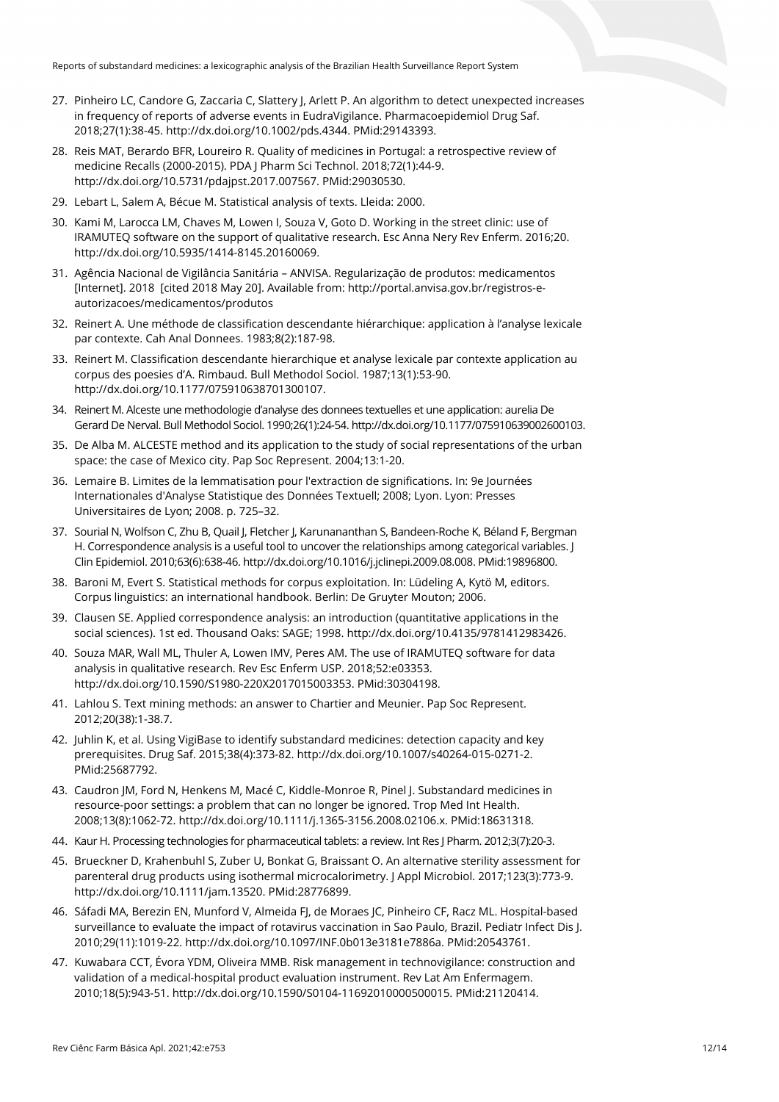- 27. Pinheiro LC, Candore G, Zaccaria C, Slattery J, Arlett P. An algorithm to detect unexpected increases in frequency of reports of adverse events in EudraVigilance. Pharmacoepidemiol Drug Saf. 2018;27(1):38-45. http://dx.doi.org/10.1002/pds.4344. [PMid:29143393.](https://www.ncbi.nlm.nih.gov/entrez/query.fcgi?cmd=Retrieve&db=PubMed&list_uids=29143393&dopt=Abstract)
- 28. Reis MAT, Berardo BFR, Loureiro R. Quality of medicines in Portugal: a retrospective review of medicine Recalls (2000-2015). PDA J Pharm Sci Technol. 2018;72(1):44-9. [http://dx.doi.org/10.5731/pdajpst.2017.007567.](https://doi.org/10.5731/pdajpst.2017.007567) [PMid:29030530.](https://www.ncbi.nlm.nih.gov/entrez/query.fcgi?cmd=Retrieve&db=PubMed&list_uids=29030530&dopt=Abstract)
- 29. Lebart L, Salem A, Bécue M. Statistical analysis of texts. Lleida: 2000.
- 30. Kami M, Larocca LM, Chaves M, Lowen I, Souza V, Goto D. Working in the street clinic: use of IRAMUTEQ software on the support of qualitative research. Esc Anna Nery Rev Enferm. 2016;20. [http://dx.doi.org/10.5935/1414-8145.20160069.](https://doi.org/10.5935/1414-8145.20160069)
- 31. Agência Nacional de Vigilância Sanitária ANVISA. Regularização de produtos: medicamentos [Internet]. 2018 [cited 2018 May 20]. Available from: http://portal.anvisa.gov.br/registros-eautorizacoes/medicamentos/produtos
- 32. Reinert A. Une méthode de classification descendante hiérarchique: application à l'analyse lexicale par contexte. Cah Anal Donnees. 1983;8(2):187-98.
- 33. Reinert M. Classification descendante hierarchique et analyse lexicale par contexte application au corpus des poesies d'A. Rimbaud. Bull Methodol Sociol. 1987;13(1):53-90. [http://dx.doi.org/10.1177/075910638701300107.](https://doi.org/10.1177/075910638701300107)
- 34. Reinert M. Alceste une methodologie d'analyse des donnees textuelles et une application: aurelia De Gerard De Nerval. Bull Methodol Sociol. 1990;26(1):24-54[. http://dx.doi.org/10.1177/075910639002600103.](https://doi.org/10.1177/075910639002600103)
- 35. De Alba M. ALCESTE method and its application to the study of social representations of the urban space: the case of Mexico city. Pap Soc Represent. 2004;13:1-20.
- 36. Lemaire B. Limites de la lemmatisation pour l'extraction de significations. In: 9e Journées Internationales d'Analyse Statistique des Données Textuell; 2008; Lyon. Lyon: Presses Universitaires de Lyon; 2008. p. 725–32.
- 37. Sourial N, Wolfson C, Zhu B, Quail J, Fletcher J, Karunananthan S, Bandeen-Roche K, Béland F, Bergman H. Correspondence analysis is a useful tool to uncover the relationships among categorical variables. J Clin Epidemiol. 2010;63(6):638-46[. http://dx.doi.org/10.1016/j.jclinepi.2009.08.008.](https://doi.org/10.1016/j.jclinepi.2009.08.008) [PMid:19896800.](https://www.ncbi.nlm.nih.gov/entrez/query.fcgi?cmd=Retrieve&db=PubMed&list_uids=19896800&dopt=Abstract)
- 38. Baroni M, Evert S. Statistical methods for corpus exploitation. In: Lüdeling A, Kytö M, editors. Corpus linguistics: an international handbook. Berlin: De Gruyter Mouton; 2006.
- 39. Clausen SE. Applied correspondence analysis: an introduction (quantitative applications in the social sciences). 1st ed. Thousand Oaks: SAGE; 1998[. http://dx.doi.org/10.4135/9781412983426.](https://doi.org/10.4135/9781412983426)
- 40. Souza MAR, Wall ML, Thuler A, Lowen IMV, Peres AM. The use of IRAMUTEQ software for data analysis in qualitative research. Rev Esc Enferm USP. 2018;52:e03353. http://dx.doi.org/10.1590/S1980-220X2017015003353. [PMid:30304198.](https://www.ncbi.nlm.nih.gov/entrez/query.fcgi?cmd=Retrieve&db=PubMed&list_uids=30304198&dopt=Abstract)
- 41. Lahlou S. Text mining methods: an answer to Chartier and Meunier. Pap Soc Represent. 2012;20(38):1-38.7.
- 42. Juhlin K, et al. Using VigiBase to identify substandard medicines: detection capacity and key prerequisites. Drug Saf. 2015;38(4):373-82. [http://dx.doi.org/10.1007/s40264-015-0271-2](https://doi.org/10.1007/s40264-015-0271-2)[.](https://www.ncbi.nlm.nih.gov/entrez/query.fcgi?cmd=Retrieve&db=PubMed&list_uids=25687792&dopt=Abstract) [PMid:25687792.](https://www.ncbi.nlm.nih.gov/entrez/query.fcgi?cmd=Retrieve&db=PubMed&list_uids=25687792&dopt=Abstract)
- 43. Caudron JM, Ford N, Henkens M, Macé C, Kiddle-Monroe R, Pinel J. Substandard medicines in resource-poor settings: a problem that can no longer be ignored. Trop Med Int Health. 2008;13(8):1062-72[. http://dx.doi.org/10.1111/j.1365-3156.2008.02106.x.](https://doi.org/10.1111/j.1365-3156.2008.02106.x) [PMid:18631318.](https://www.ncbi.nlm.nih.gov/entrez/query.fcgi?cmd=Retrieve&db=PubMed&list_uids=18631318&dopt=Abstract)
- 44. Kaur H. Processing technologies for pharmaceutical tablets: a review. Int Res J Pharm. 2012;3(7):20-3.
- 45. Brueckner D, Krahenbuhl S, Zuber U, Bonkat G, Braissant O. An alternative sterility assessment for parenteral drug products using isothermal microcalorimetry. J Appl Microbiol. 2017;123(3):773-9. [http://dx.doi.org/10.1111/jam.13520.](https://doi.org/10.1111/jam.13520) [PMid:28776899.](https://www.ncbi.nlm.nih.gov/entrez/query.fcgi?cmd=Retrieve&db=PubMed&list_uids=28776899&dopt=Abstract)
- 46. Sáfadi MA, Berezin EN, Munford V, Almeida FJ, de Moraes JC, Pinheiro CF, Racz ML. Hospital-based surveillance to evaluate the impact of rotavirus vaccination in Sao Paulo, Brazil. Pediatr Infect Dis J. 2010;29(11):1019-22[. http://dx.doi.org/10.1097/INF.0b013e3181e7886a.](https://doi.org/10.1097/INF.0b013e3181e7886a) [PMid:20543761.](https://www.ncbi.nlm.nih.gov/entrez/query.fcgi?cmd=Retrieve&db=PubMed&list_uids=20543761&dopt=Abstract)
- 47. Kuwabara CCT, Évora YDM, Oliveira MMB. Risk management in technovigilance: construction and validation of a medical-hospital product evaluation instrument. Rev Lat Am Enfermagem. 2010;18(5):943-51. [http://dx.doi.org/10.1590/S0104-11692010000500015.](https://doi.org/10.1590/S0104-11692010000500015) [PMid:21120414.](https://www.ncbi.nlm.nih.gov/entrez/query.fcgi?cmd=Retrieve&db=PubMed&list_uids=21120414&dopt=Abstract)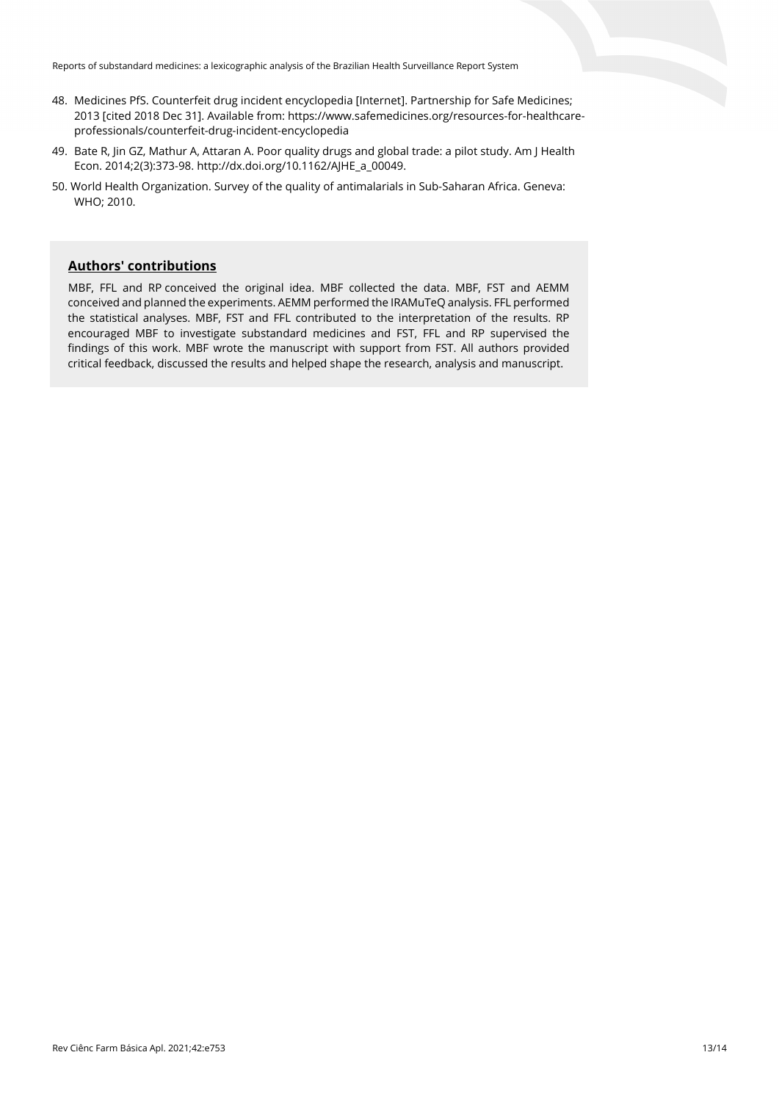- 48. Medicines PfS. Counterfeit drug incident encyclopedia [Internet]. Partnership for Safe Medicines; 2013 [cited 2018 Dec 31]. Available from: https://www.safemedicines.org/resources-for-healthcareprofessionals/counterfeit-drug-incident-encyclopedia
- 49. Bate R, Jin GZ, Mathur A, Attaran A. Poor quality drugs and global trade: a pilot study. Am J Health Econ. 2014;2(3):373-98[. http://dx.doi.org/10.1162/AJHE\\_a\\_00049.](https://doi.org/10.1162/AJHE_a_00049)
- 50. World Health Organization. Survey of the quality of antimalarials in Sub-Saharan Africa. Geneva: WHO; 2010.

# **Authors' contributions**

MBF, FFL and RP conceived the original idea. MBF collected the data. MBF, FST and AEMM conceived and planned the experiments. AEMM performed the IRAMuTeQ analysis. FFL performed the statistical analyses. MBF, FST and FFL contributed to the interpretation of the results. RP encouraged MBF to investigate substandard medicines and FST, FFL and RP supervised the findings of this work. MBF wrote the manuscript with support from FST. All authors provided critical feedback, discussed the results and helped shape the research, analysis and manuscript.